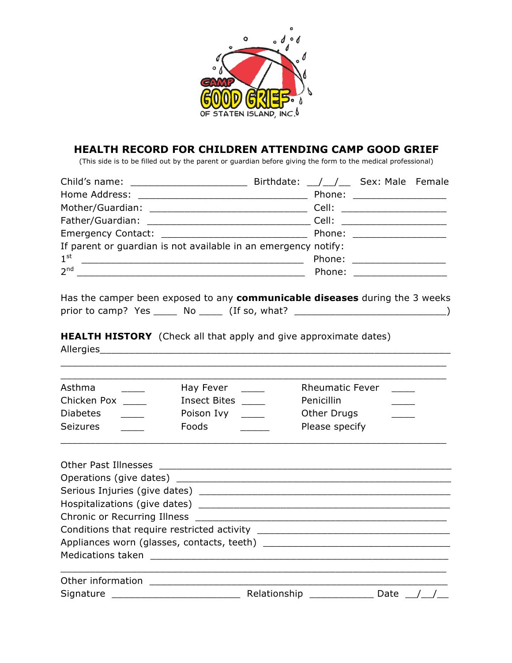

## **HEALTH RECORD FOR CHILDREN ATTENDING CAMP GOOD GRIEF**

(This side is to be filled out by the parent or guardian before giving the form to the medical professional)

| Child's name: _________________________                        | Birthdate: / / Gex: Male Female |                              |  |
|----------------------------------------------------------------|---------------------------------|------------------------------|--|
|                                                                |                                 | Phone: ____________________  |  |
|                                                                |                                 | Cell: ______________________ |  |
|                                                                |                                 |                              |  |
|                                                                |                                 | Phone: _____________________ |  |
| If parent or guardian is not available in an emergency notify: |                                 |                              |  |
| $1^{\rm st}$                                                   |                                 | Phone: ___________________   |  |
| 2 <sup>nd</sup>                                                |                                 | Phone: ____________________  |  |

Has the camper been exposed to any **communicable diseases** during the 3 weeks prior to camp? Yes \_\_\_\_\_ No \_\_\_\_\_ (If so, what? \_\_\_\_\_\_\_\_\_\_\_\_\_\_\_\_\_\_\_\_\_\_\_\_\_\_\_\_\_\_\_\_)

**HEALTH HISTORY** (Check all that apply and give approximate dates) Allergies

| Asthma          | Hay Fever    | <b>Rheumatic Fever</b> |
|-----------------|--------------|------------------------|
| Chicken Pox     | Insect Bites | <b>Penicillin</b>      |
| <b>Diabetes</b> | Poison Ivy   | Other Drugs            |
| <b>Seizures</b> | Foods        | Please specify         |

\_\_\_\_\_\_\_\_\_\_\_\_\_\_\_\_\_\_\_\_\_\_\_\_\_\_\_\_\_\_\_\_\_\_\_\_\_\_\_\_\_\_\_\_\_\_\_\_\_\_\_\_\_\_\_\_\_\_\_\_\_\_\_\_\_\_

|  | Relationship __________ | Date |  |  |  |
|--|-------------------------|------|--|--|--|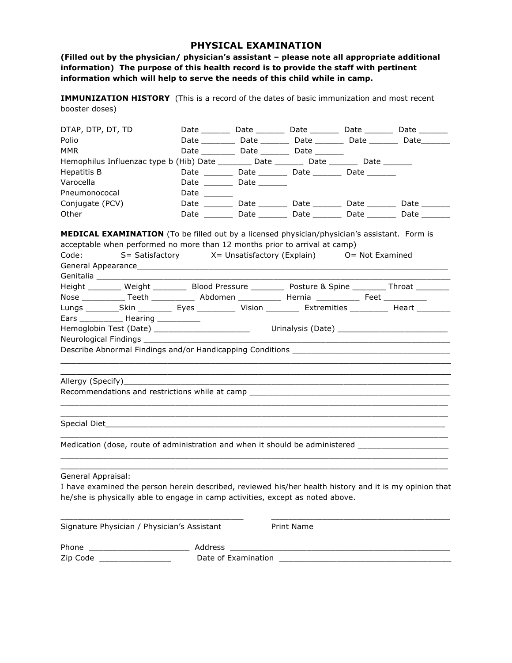## **PHYSICAL EXAMINATION**

**(Filled out by the physician/ physician's assistant – please note all appropriate additional information) The purpose of this health record is to provide the staff with pertinent information which will help to serve the needs of this child while in camp.**

**IMMUNIZATION HISTORY** (This is a record of the dates of basic immunization and most recent booster doses)

| DTAP, DTP, DT, TD |                                                                                                       |             |                                        |                                                             | Date __________ Date _________ Date _________ Date _________ Date ________  |
|-------------------|-------------------------------------------------------------------------------------------------------|-------------|----------------------------------------|-------------------------------------------------------------|-----------------------------------------------------------------------------|
| Polio             |                                                                                                       |             |                                        |                                                             | Date __________ Date _________ Date ________ Date ________ Date ________    |
| MMR               |                                                                                                       |             |                                        | Date _____________ Date ___________ Date _________          |                                                                             |
|                   | Hemophilus Influenzac type b (Hib) Date __________ Date _________ Date ________ Date ________         |             |                                        |                                                             |                                                                             |
| Hepatitis B       |                                                                                                       |             |                                        | Date __________ Date _________ Date _________ Date ________ |                                                                             |
| Varocella         |                                                                                                       |             | Date ________________ Date ___________ |                                                             |                                                                             |
| Pneumonococal     |                                                                                                       | <b>Date</b> |                                        |                                                             |                                                                             |
| Conjugate (PCV)   |                                                                                                       |             |                                        |                                                             | Date __________ Date __________ Date _________ Date _________ Date ________ |
| Other             |                                                                                                       |             |                                        |                                                             | Date _________ Date _________ Date ________ Date ________ Date ________     |
|                   |                                                                                                       |             |                                        |                                                             |                                                                             |
|                   | Height _________ Weight __________ Blood Pressure __________ Posture & Spine ________ Throat ________ |             |                                        |                                                             |                                                                             |
|                   | Nose ______________ Teeth _____________ Abdomen _____________ Hernia ____________ Feet ___________    |             |                                        |                                                             |                                                                             |
|                   |                                                                                                       |             |                                        |                                                             |                                                                             |
|                   | Ears ________________ Hearing ______________                                                          |             |                                        |                                                             |                                                                             |
|                   | Hemoglobin Test (Date) ____________________________                                                   |             |                                        |                                                             | Urinalysis (Date) ______________________________                            |
|                   |                                                                                                       |             |                                        |                                                             |                                                                             |
|                   |                                                                                                       |             |                                        |                                                             |                                                                             |
|                   |                                                                                                       |             |                                        |                                                             |                                                                             |
|                   |                                                                                                       |             |                                        |                                                             |                                                                             |
|                   | Allergy (Specify)__________                                                                           |             |                                        |                                                             |                                                                             |

Recommendations and restrictions while at camp \_\_\_\_\_\_\_\_\_\_\_\_\_\_\_\_\_\_\_\_\_\_\_\_\_\_\_\_\_\_\_\_\_\_

Special Diet\_\_\_\_\_\_\_\_\_\_\_\_\_\_\_\_\_\_\_\_\_\_\_\_\_\_\_\_\_\_\_\_\_\_\_\_\_\_\_\_\_\_\_\_\_\_\_\_\_\_\_\_\_\_\_\_\_\_\_\_\_\_\_\_\_\_\_\_\_\_\_

Medication (dose, route of administration and when it should be administered \_\_\_\_\_\_\_\_\_\_\_\_\_\_\_\_\_\_\_\_\_\_

General Appraisal:

I have examined the person herein described, reviewed his/her health history and it is my opinion that he/she is physically able to engage in camp activities, except as noted above.

\_\_\_\_\_\_\_\_\_\_\_\_\_\_\_\_\_\_\_\_\_\_\_\_\_\_\_\_\_\_\_\_\_\_\_\_\_\_\_\_\_\_\_\_\_\_\_\_\_\_\_\_\_\_\_\_\_\_\_\_\_\_\_\_\_\_\_\_\_\_\_\_\_\_\_\_\_\_\_\_\_ \_\_\_\_\_\_\_\_\_\_\_\_\_\_\_\_\_\_\_\_\_\_\_\_\_\_\_\_\_\_\_\_\_\_\_\_\_\_\_\_\_\_\_\_\_\_\_\_\_\_\_\_\_\_\_\_\_\_\_\_\_\_\_\_\_\_\_\_\_\_\_\_\_\_\_\_\_\_\_\_\_

\_\_\_\_\_\_\_\_\_\_\_\_\_\_\_\_\_\_\_\_\_\_\_\_\_\_\_\_\_\_\_\_\_\_\_\_\_\_\_\_\_\_\_\_\_\_\_\_\_\_\_\_\_\_\_\_\_\_\_\_\_\_\_\_\_\_\_\_\_\_\_\_\_\_\_\_\_\_\_\_\_

\_\_\_\_\_\_\_\_\_\_\_\_\_\_\_\_\_\_\_\_\_\_\_\_\_\_\_\_\_\_\_\_\_\_\_\_\_\_\_\_\_\_\_\_\_\_\_\_\_\_\_\_\_\_\_\_\_\_\_\_\_\_\_\_\_\_\_\_\_\_\_\_\_\_\_\_\_\_\_\_\_ \_\_\_\_\_\_\_\_\_\_\_\_\_\_\_\_\_\_\_\_\_\_\_\_\_\_\_\_\_\_\_\_\_\_\_\_\_\_\_\_\_\_\_\_\_\_\_\_\_\_\_\_\_\_\_\_\_\_\_\_\_\_\_\_\_\_\_\_\_\_\_\_\_\_\_\_\_\_\_\_\_

| Signature Physician / Physician's Assistant |                     | Print Name |
|---------------------------------------------|---------------------|------------|
| Phone                                       | Address             |            |
| Zip Code                                    | Date of Examination |            |